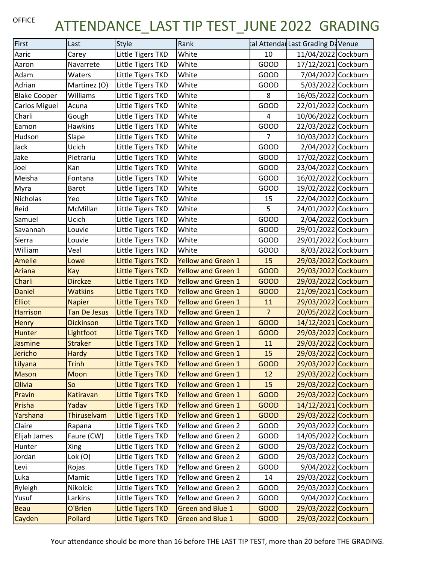## OFFICE ATTENDANCE\_LAST TIP TEST\_JUNE 2022 GRADING

| First               | Last                | Style                    | Rank                      |                | tal Attendar Last Grading DaVenue |
|---------------------|---------------------|--------------------------|---------------------------|----------------|-----------------------------------|
| Aaric               | Carey               | Little Tigers TKD        | White                     | 10             | 11/04/2022 Cockburn               |
| Aaron               | Navarrete           | Little Tigers TKD        | White                     | <b>GOOD</b>    | 17/12/2021 Cockburn               |
| Adam                | Waters              | Little Tigers TKD        | White                     | <b>GOOD</b>    | 7/04/2022 Cockburn                |
| Adrian              | Martinez (O)        | Little Tigers TKD        | White                     | <b>GOOD</b>    | 5/03/2022 Cockburn                |
| <b>Blake Cooper</b> | Williams            | Little Tigers TKD        | White                     | 8              | 16/05/2022 Cockburn               |
| Carlos Miguel       | Acuna               | Little Tigers TKD        | White                     | <b>GOOD</b>    | 22/01/2022 Cockburn               |
| Charli              | Gough               | Little Tigers TKD        | White                     | 4              | 10/06/2022 Cockburn               |
| Eamon               | <b>Hawkins</b>      | Little Tigers TKD        | White                     | GOOD           | 22/03/2022 Cockburn               |
| Hudson              | Slape               | Little Tigers TKD        | White                     | $\overline{7}$ | 10/03/2022 Cockburn               |
| Jack                | Ucich               | Little Tigers TKD        | White                     | <b>GOOD</b>    | 2/04/2022 Cockburn                |
| Jake                | Pietrariu           | Little Tigers TKD        | White                     | GOOD           | 17/02/2022 Cockburn               |
| Joel                | Kan                 | Little Tigers TKD        | White                     | GOOD           | 23/04/2022 Cockburn               |
| Meisha              | Fontana             | Little Tigers TKD        | White                     | <b>GOOD</b>    | 16/02/2022 Cockburn               |
| Myra                | Barot               | Little Tigers TKD        | White                     | <b>GOOD</b>    | 19/02/2022 Cockburn               |
| Nicholas            | Yeo                 | Little Tigers TKD        | White                     | 15             | 22/04/2022 Cockburn               |
| Reid                | McMillan            | Little Tigers TKD        | White                     | 5              | 24/01/2022 Cockburn               |
| Samuel              | Ucich               | Little Tigers TKD        | White                     | GOOD           | 2/04/2022 Cockburn                |
| Savannah            | Louvie              | Little Tigers TKD        | White                     | GOOD           | 29/01/2022 Cockburn               |
| Sierra              | Louvie              | Little Tigers TKD        | White                     | GOOD           | 29/01/2022 Cockburn               |
| William             | Veal                | Little Tigers TKD        | White                     | GOOD           | 8/03/2022 Cockburn                |
| <b>Amelie</b>       | Lowe                | <b>Little Tigers TKD</b> | <b>Yellow and Green 1</b> | 15             | 29/03/2022 Cockburn               |
| Ariana              | Kay                 | <b>Little Tigers TKD</b> | <b>Yellow and Green 1</b> | <b>GOOD</b>    | 29/03/2022 Cockburn               |
| Charli              | <b>Dirckze</b>      | <b>Little Tigers TKD</b> | <b>Yellow and Green 1</b> | <b>GOOD</b>    | 29/03/2022 Cockburn               |
| <b>Daniel</b>       | <b>Watkins</b>      | <b>Little Tigers TKD</b> | <b>Yellow and Green 1</b> | <b>GOOD</b>    | 21/09/2021 Cockburn               |
| <b>Elliot</b>       | <b>Napier</b>       | <b>Little Tigers TKD</b> | <b>Yellow and Green 1</b> | 11             | 29/03/2022 Cockburn               |
| <b>Harrison</b>     | <b>Tan De Jesus</b> | <b>Little Tigers TKD</b> | <b>Yellow and Green 1</b> | $\overline{7}$ | 20/05/2022 Cockburn               |
| <b>Henry</b>        | <b>Dickinson</b>    | <b>Little Tigers TKD</b> | <b>Yellow and Green 1</b> | <b>GOOD</b>    | 14/12/2021 Cockburn               |
| Hunter              | Lightfoot           | <b>Little Tigers TKD</b> | <b>Yellow and Green 1</b> | <b>GOOD</b>    | 29/03/2022 Cockburn               |
| Jasmine             | <b>Straker</b>      | <b>Little Tigers TKD</b> | <b>Yellow and Green 1</b> | 11             | 29/03/2022 Cockburn               |
| Jericho             | Hardy               | Little Tigers TKD        | Yellow and Green 1        | 15             | 29/03/2022 Cockburn               |
| Lilyana             | Trinh               | <b>Little Tigers TKD</b> | <b>Yellow and Green 1</b> | <b>GOOD</b>    | 29/03/2022 Cockburn               |
| <b>Mason</b>        | Moon                | <b>Little Tigers TKD</b> | <b>Yellow and Green 1</b> | 12             | 29/03/2022 Cockburn               |
| Olivia              | So                  | <b>Little Tigers TKD</b> | <b>Yellow and Green 1</b> | 15             | 29/03/2022 Cockburn               |
| Pravin              | Katiravan           | <b>Little Tigers TKD</b> | <b>Yellow and Green 1</b> | <b>GOOD</b>    | 29/03/2022 Cockburn               |
| Prisha              | Yadav               | <b>Little Tigers TKD</b> | <b>Yellow and Green 1</b> | <b>GOOD</b>    | 14/12/2021 Cockburn               |
| Yarshana            | Thiruselvam         | <b>Little Tigers TKD</b> | <b>Yellow and Green 1</b> | <b>GOOD</b>    | 29/03/2022 Cockburn               |
| Claire              | Rapana              | Little Tigers TKD        | Yellow and Green 2        | <b>GOOD</b>    | 29/03/2022 Cockburn               |
| Elijah James        | Faure (CW)          | Little Tigers TKD        | Yellow and Green 2        | GOOD           | 14/05/2022 Cockburn               |
| Hunter              | Xing                | Little Tigers TKD        | Yellow and Green 2        | GOOD           | 29/03/2022 Cockburn               |
| Jordan              | Lok(0)              | Little Tigers TKD        | Yellow and Green 2        | GOOD           | 29/03/2022 Cockburn               |
| Levi                | Rojas               | Little Tigers TKD        | Yellow and Green 2        | GOOD           | 9/04/2022 Cockburn                |
| Luka                | Mamic               | Little Tigers TKD        | Yellow and Green 2        | 14             | 29/03/2022 Cockburn               |
| Ryleigh             | Nikolcic            | Little Tigers TKD        | Yellow and Green 2        | GOOD           | 29/03/2022 Cockburn               |
| Yusuf               | Larkins             | Little Tigers TKD        | Yellow and Green 2        | GOOD           | 9/04/2022 Cockburn                |
| <b>Beau</b>         | O'Brien             | <b>Little Tigers TKD</b> | <b>Green and Blue 1</b>   | <b>GOOD</b>    | 29/03/2022 Cockburn               |
| Cayden              | Pollard             | <b>Little Tigers TKD</b> | <b>Green and Blue 1</b>   | <b>GOOD</b>    | 29/03/2022 Cockburn               |